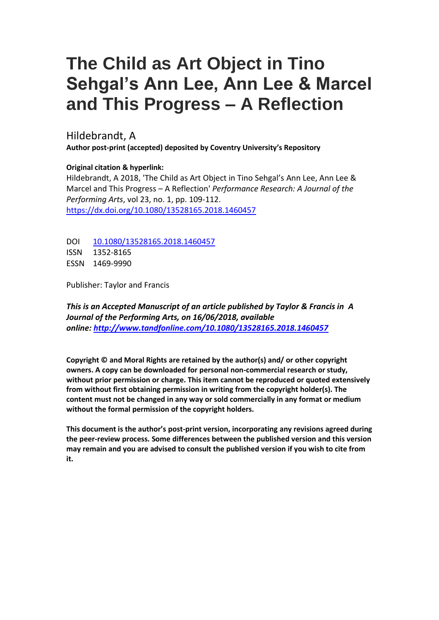## **The Child as Art Object in Tino Sehgal's Ann Lee, Ann Lee & Marcel and This Progress – A Reflection**

Hildebrandt, A

**Author post-print (accepted) deposited by Coventry University's Repository**

**Original citation & hyperlink:**

Hildebrandt, A 2018, 'The Child as Art Object in Tino Sehgal's Ann Lee, Ann Lee & Marcel and This Progress – A Reflection' *Performance Research: A Journal of the Performing Arts*, vol 23, no. 1, pp. 109-112. <https://dx.doi.org/10.1080/13528165.2018.1460457>

DOI [10.1080/13528165.2018.1460457](http://dx.doi.org/10.1080/13528165.2018.1460457) ISSN 1352-8165 ESSN 1469-9990

Publisher: Taylor and Francis

*This is an Accepted Manuscript of an article published by Taylor & Francis in A Journal of the Performing Arts, on 16/06/2018, available online: <http://www.tandfonline.com/10.1080/13528165.2018.1460457>*

**Copyright © and Moral Rights are retained by the author(s) and/ or other copyright owners. A copy can be downloaded for personal non-commercial research or study, without prior permission or charge. This item cannot be reproduced or quoted extensively from without first obtaining permission in writing from the copyright holder(s). The content must not be changed in any way or sold commercially in any format or medium without the formal permission of the copyright holders.** 

**This document is the author's post-print version, incorporating any revisions agreed during the peer-review process. Some differences between the published version and this version may remain and you are advised to consult the published version if you wish to cite from it.**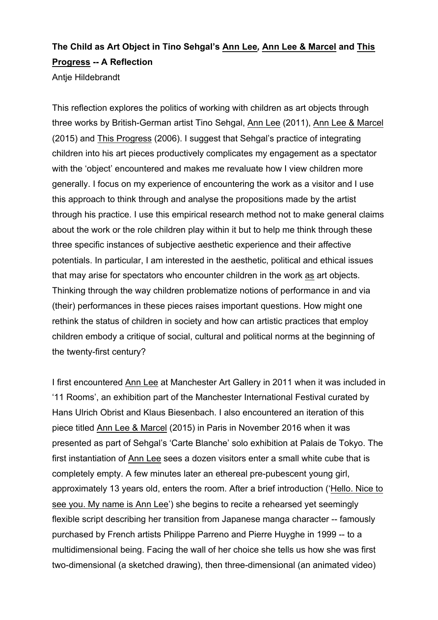## **The Child as Art Object in Tino Sehgal's Ann Lee***,* **Ann Lee & Marcel and This Progress -- A Reflection**

Antje Hildebrandt

This reflection explores the politics of working with children as art objects through three works by British-German artist Tino Sehgal, Ann Lee (2011), Ann Lee & Marcel (2015) and This Progress (2006). I suggest that Sehgal's practice of integrating children into his art pieces productively complicates my engagement as a spectator with the 'object' encountered and makes me revaluate how I view children more generally. I focus on my experience of encountering the work as a visitor and I use this approach to think through and analyse the propositions made by the artist through his practice. I use this empirical research method not to make general claims about the work or the role children play within it but to help me think through these three specific instances of subjective aesthetic experience and their affective potentials. In particular, I am interested in the aesthetic, political and ethical issues that may arise for spectators who encounter children in the work as art objects. Thinking through the way children problematize notions of performance in and via (their) performances in these pieces raises important questions. How might one rethink the status of children in society and how can artistic practices that employ children embody a critique of social, cultural and political norms at the beginning of the twenty-first century?

I first encountered Ann Lee at Manchester Art Gallery in 2011 when it was included in '11 Rooms', an exhibition part of the Manchester International Festival curated by Hans Ulrich Obrist and Klaus Biesenbach. I also encountered an iteration of this piece titled Ann Lee & Marcel (2015) in Paris in November 2016 when it was presented as part of Sehgal's 'Carte Blanche' solo exhibition at Palais de Tokyo. The first instantiation of Ann Lee sees a dozen visitors enter a small white cube that is completely empty. A few minutes later an ethereal pre-pubescent young girl, approximately 13 years old, enters the room. After a brief introduction ('Hello. Nice to see you. My name is Ann Lee') she begins to recite a rehearsed yet seemingly flexible script describing her transition from Japanese manga character -- famously purchased by French artists Philippe Parreno and Pierre Huyghe in 1999 -- to a multidimensional being. Facing the wall of her choice she tells us how she was first two-dimensional (a sketched drawing), then three-dimensional (an animated video)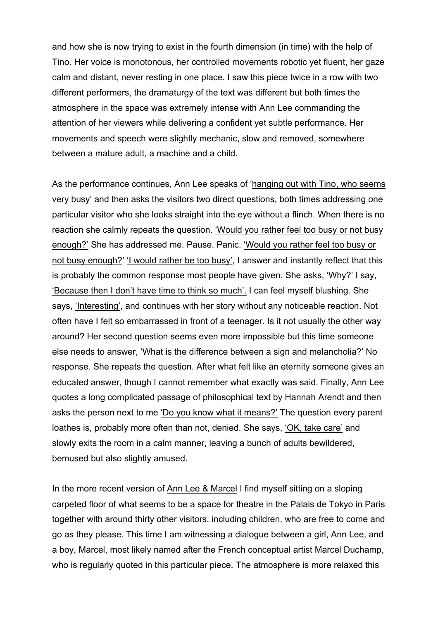and how she is now trying to exist in the fourth dimension (in time) with the help of Tino. Her voice is monotonous, her controlled movements robotic yet fluent, her gaze calm and distant, never resting in one place. I saw this piece twice in a row with two different performers, the dramaturgy of the text was different but both times the atmosphere in the space was extremely intense with Ann Lee commanding the attention of her viewers while delivering a confident yet subtle performance. Her movements and speech were slightly mechanic, slow and removed, somewhere between a mature adult, a machine and a child.

As the performance continues, Ann Lee speaks of 'hanging out with Tino, who seems very busy' and then asks the visitors two direct questions, both times addressing one particular visitor who she looks straight into the eye without a flinch. When there is no reaction she calmly repeats the question. 'Would you rather feel too busy or not busy enough?' She has addressed me. Pause. Panic. 'Would you rather feel too busy or not busy enough?' 'I would rather be too busy', I answer and instantly reflect that this is probably the common response most people have given. She asks, 'Why?' I say, 'Because then I don't have time to think so much'. I can feel myself blushing. She says, 'Interesting', and continues with her story without any noticeable reaction. Not often have I felt so embarrassed in front of a teenager. Is it not usually the other way around? Her second question seems even more impossible but this time someone else needs to answer, 'What is the difference between a sign and melancholia?' No response. She repeats the question. After what felt like an eternity someone gives an educated answer, though I cannot remember what exactly was said. Finally, Ann Lee quotes a long complicated passage of philosophical text by Hannah Arendt and then asks the person next to me 'Do you know what it means?' The question every parent loathes is, probably more often than not, denied. She says, 'OK, take care' and slowly exits the room in a calm manner, leaving a bunch of adults bewildered, bemused but also slightly amused.

In the more recent version of Ann Lee & Marcel I find myself sitting on a sloping carpeted floor of what seems to be a space for theatre in the Palais de Tokyo in Paris together with around thirty other visitors, including children, who are free to come and go as they please. This time I am witnessing a dialogue between a girl, Ann Lee, and a boy, Marcel, most likely named after the French conceptual artist Marcel Duchamp, who is regularly quoted in this particular piece. The atmosphere is more relaxed this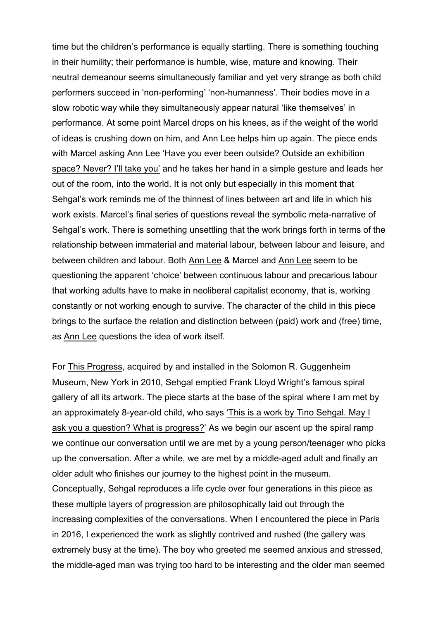time but the children's performance is equally startling. There is something touching in their humility; their performance is humble, wise, mature and knowing. Their neutral demeanour seems simultaneously familiar and yet very strange as both child performers succeed in 'non-performing' 'non-humanness'. Their bodies move in a slow robotic way while they simultaneously appear natural 'like themselves' in performance. At some point Marcel drops on his knees, as if the weight of the world of ideas is crushing down on him, and Ann Lee helps him up again. The piece ends with Marcel asking Ann Lee 'Have you ever been outside? Outside an exhibition space? Never? I'll take you' and he takes her hand in a simple gesture and leads her out of the room, into the world. It is not only but especially in this moment that Sehgal's work reminds me of the thinnest of lines between art and life in which his work exists. Marcel's final series of questions reveal the symbolic meta-narrative of Sehgal's work. There is something unsettling that the work brings forth in terms of the relationship between immaterial and material labour, between labour and leisure, and between children and labour. Both Ann Lee & Marcel and Ann Lee seem to be questioning the apparent 'choice' between continuous labour and precarious labour that working adults have to make in neoliberal capitalist economy, that is, working constantly or not working enough to survive. The character of the child in this piece brings to the surface the relation and distinction between (paid) work and (free) time, as Ann Lee questions the idea of work itself.

For This Progress, acquired by and installed in the Solomon R. Guggenheim Museum, New York in 2010, Sehgal emptied Frank Lloyd Wright's famous spiral gallery of all its artwork. The piece starts at the base of the spiral where I am met by an approximately 8-year-old child, who says 'This is a work by Tino Sehgal. May I ask you a question? What is progress?' As we begin our ascent up the spiral ramp we continue our conversation until we are met by a young person/teenager who picks up the conversation. After a while, we are met by a middle-aged adult and finally an older adult who finishes our journey to the highest point in the museum. Conceptually, Sehgal reproduces a life cycle over four generations in this piece as these multiple layers of progression are philosophically laid out through the increasing complexities of the conversations. When I encountered the piece in Paris in 2016, I experienced the work as slightly contrived and rushed (the gallery was extremely busy at the time). The boy who greeted me seemed anxious and stressed, the middle-aged man was trying too hard to be interesting and the older man seemed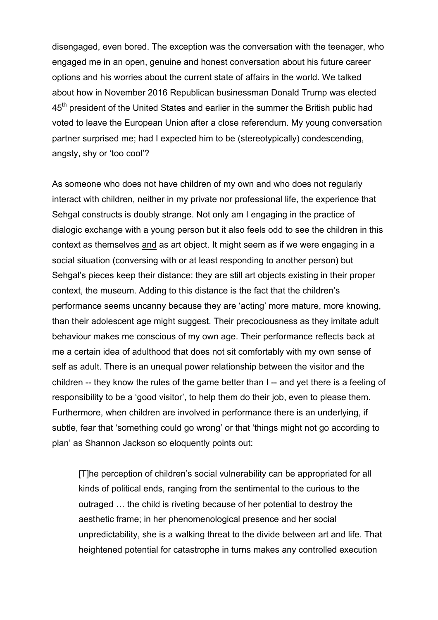disengaged, even bored. The exception was the conversation with the teenager, who engaged me in an open, genuine and honest conversation about his future career options and his worries about the current state of affairs in the world. We talked about how in November 2016 Republican businessman Donald Trump was elected 45<sup>th</sup> president of the United States and earlier in the summer the British public had voted to leave the European Union after a close referendum. My young conversation partner surprised me; had I expected him to be (stereotypically) condescending, angsty, shy or 'too cool'?

As someone who does not have children of my own and who does not regularly interact with children, neither in my private nor professional life, the experience that Sehgal constructs is doubly strange. Not only am I engaging in the practice of dialogic exchange with a young person but it also feels odd to see the children in this context as themselves and as art object. It might seem as if we were engaging in a social situation (conversing with or at least responding to another person) but Sehgal's pieces keep their distance: they are still art objects existing in their proper context, the museum. Adding to this distance is the fact that the children's performance seems uncanny because they are 'acting' more mature, more knowing, than their adolescent age might suggest. Their precociousness as they imitate adult behaviour makes me conscious of my own age. Their performance reflects back at me a certain idea of adulthood that does not sit comfortably with my own sense of self as adult. There is an unequal power relationship between the visitor and the children -- they know the rules of the game better than I -- and yet there is a feeling of responsibility to be a 'good visitor', to help them do their job, even to please them. Furthermore, when children are involved in performance there is an underlying, if subtle, fear that 'something could go wrong' or that 'things might not go according to plan' as Shannon Jackson so eloquently points out:

[T]he perception of children's social vulnerability can be appropriated for all kinds of political ends, ranging from the sentimental to the curious to the outraged … the child is riveting because of her potential to destroy the aesthetic frame; in her phenomenological presence and her social unpredictability, she is a walking threat to the divide between art and life. That heightened potential for catastrophe in turns makes any controlled execution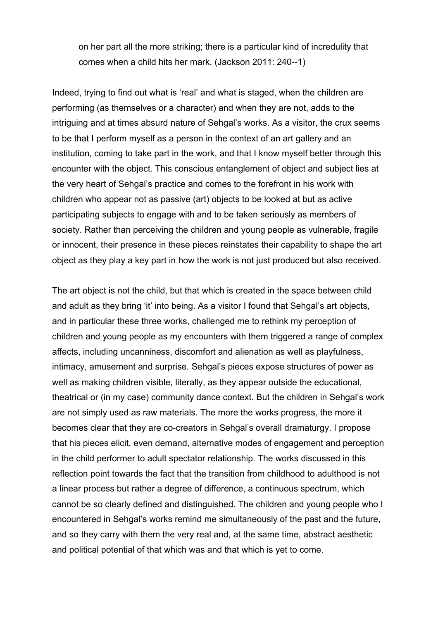on her part all the more striking; there is a particular kind of incredulity that comes when a child hits her mark. (Jackson 2011: 240--1)

Indeed, trying to find out what is 'real' and what is staged, when the children are performing (as themselves or a character) and when they are not, adds to the intriguing and at times absurd nature of Sehgal's works. As a visitor, the crux seems to be that I perform myself as a person in the context of an art gallery and an institution, coming to take part in the work, and that I know myself better through this encounter with the object. This conscious entanglement of object and subject lies at the very heart of Sehgal's practice and comes to the forefront in his work with children who appear not as passive (art) objects to be looked at but as active participating subjects to engage with and to be taken seriously as members of society. Rather than perceiving the children and young people as vulnerable, fragile or innocent, their presence in these pieces reinstates their capability to shape the art object as they play a key part in how the work is not just produced but also received.

The art object is not the child, but that which is created in the space between child and adult as they bring 'it' into being. As a visitor I found that Sehgal's art objects, and in particular these three works, challenged me to rethink my perception of children and young people as my encounters with them triggered a range of complex affects, including uncanniness, discomfort and alienation as well as playfulness, intimacy, amusement and surprise. Sehgal's pieces expose structures of power as well as making children visible, literally, as they appear outside the educational, theatrical or (in my case) community dance context. But the children in Sehgal's work are not simply used as raw materials. The more the works progress, the more it becomes clear that they are co-creators in Sehgal's overall dramaturgy. I propose that his pieces elicit, even demand, alternative modes of engagement and perception in the child performer to adult spectator relationship. The works discussed in this reflection point towards the fact that the transition from childhood to adulthood is not a linear process but rather a degree of difference, a continuous spectrum, which cannot be so clearly defined and distinguished. The children and young people who I encountered in Sehgal's works remind me simultaneously of the past and the future, and so they carry with them the very real and, at the same time, abstract aesthetic and political potential of that which was and that which is yet to come.